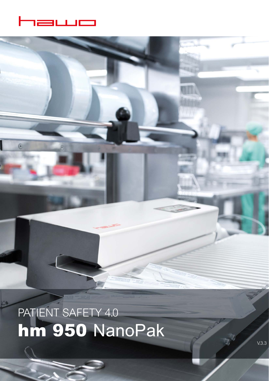

 $\overline{6}$ 

PATIENT SAFETY 4.0 hm 950 NanoPak

V.3.3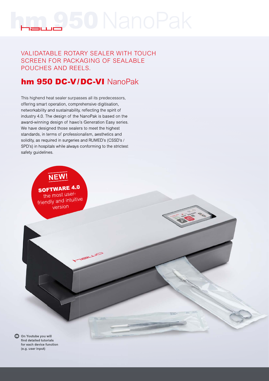# VALIDATABLE ROTARY SEALER WITH TOUCH SCREEN FOR PACKAGING OF SEALABLE POUCHES AND REELS.

# hm 950 DC-V/DC-VI NanoPak

This highend heat sealer surpasses all its predecessors, offering smart operation, comprehensive digitisation, networkability and sustainability, reflecting the spirit of industry 4.0. The design of the NanoPak is based on the award-winning design of hawo's Generation Easy series. We have designed those sealers to meet the highest standards, in terms of professionalism, aesthetics and solidity, as required in surgeries and RUMED's (CSSD's / SPD's) in hospitals while always conforming to the strictest safety guidelines.

# **NEW!**

SOFTWARE 4.0 the most userfriendly and intuitive version

**On Youtube you will**  find detailed tutorials **for each device function (e.g. user input)**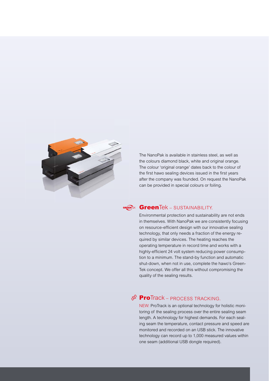

The NanoPak is available in stainless steel, as well as the colours diamond black, white and original orange. The colour 'original orange' dates back to the colour of the first hawo sealing devices issued in the first years after the company was founded. On request the NanoPak can be provided in special colours or foiling.<br>

#### **Green**Tek – SUSTAINABILITY. **SH** IGN – SUSTAINABILITY.

Environmental protection and sustainability are not ends in themselves. With NanoPak we are consistently focusing on resource-efficient design with our innovative sealing technology, that only needs a fraction of the energy required by similar devices. The heating reaches the quired by entimate devices: the heating reached the<br>operating temperature in record time and works with a highly-efficient 24 volt system reducing power consumption to a minimum. The stand-by function and automatic shut-down, when not in use, complete the hawo's Green-Tek concept. We offer all this without compromising the quality of the sealing results. The viewed in a spread sheet program (e.g. Excel).

# ProTrack - PROCESS TRACKING.

NEW: ProTrack is an optional technology for holistic monitoring of the sealing process over the entire sealing seam length. A technology for highest demands. For each sealing seam the temperature, contact pressure and speed are monitored and recorded on an USB stick. The innovative technology can record up to 1,000 measured values within one seam (additional USB dongle required).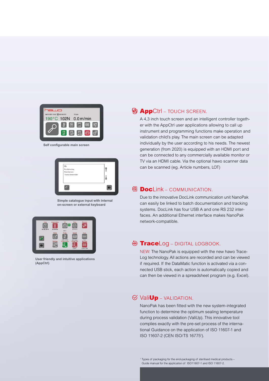

**Self configurable main screen** 

| Info:<br>Eva Kleinschlag<br>Peter Hermann<br>Thomas Breitschrader |  |
|-------------------------------------------------------------------|--|
|                                                                   |  |

**Simple catalogue input with internal on-screen or external keyboard**



**User friendly and intuitive applications (AppCtrl)**

# **AppCtrl** – TOUCH SCREEN.

A 4.3 inch touch screen and an intelligent controller together with the AppCtrl user applications allowing to call up instrument and programming functions make operation and validation child's play. The main screen can be adapted individually by the user according to his needs. The newest generation (from 2020) is equipped with an HDMI port and can be connected to any commercially available monitor or TV via an HDMI cable. Via the optional hawo scanner data can be scanned (eg. Article numbers, LOT)

### 图 **Docl** ink – COMMUNICATION.

Due to the innovative DocLink communication unit NanoPak can easily be linked to batch documentation and tracking systems. DocLink has four USB A and one RS 232 interfaces. An additional Ethernet interface makes NanoPak network-compatible.

#### **TraceLog** – DIGITAL LOGBOOK.

NEW: The NanoPak is equipped with the new hawo Trace-Log technology. All actions are recorded and can be viewed if required. If the DataMatic function is activated via a connected USB stick, each action is automatically copied and can then be viewed in a spreadsheet program (e.g. Excel).

## $\mathcal O$  Vali**Up** – VALIDATION.

NanoPak has been fitted with the new system-integrated function to determine the optimum sealing temperature during process validation (ValiUp). This innovative tool complies exactly with the pre-set process of the international Guidance on the application of ISO 11607-1 and ISO 11607-2 (CEN ISO/TS 167751 ).

1 Types of packaging for the end-packaging of sterilised medical products – Guide manual for the application of ISO11607-1 and ISO 11607-2.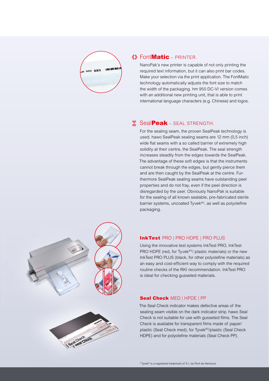

### $\langle \rangle$  Font**Matic** – PRINTER.

NanoPak's new printer is capable of not only printing the required text information, but it can also print bar codes. Make your selection via the print application. The FontMatic technology automatically adjusts the font size to match the width of the packaging. hm 950 DC-VI version comes with an additional new printing unit, that is able to print international language characters (e.g. Chinese) and logos.

# **X** SealPeak - SEAL STRENGTH.

For the sealing seam, the proven SealPeak technology is used. hawo SealPeak sealing seams are 12 mm (0,5 inch) wide flat seams with a so called barrier of extremely high solidity at their centre, the SealPeak. The seal strength increases steadily from the edges towards the SealPeak. The advantage of these soft edges is that the instruments cannot break through the edges, but gently pierce them and are then caught by the SealPeak at the centre. Furthermore SealPeak sealing seams have outstanding peel properties and do not fray, even if the peel direction is disregarded by the user. Obviously NanoPak is suitable for the sealing of all known sealable, pre-fabricated sterile barrier systems, uncoated Tyvek®<sup>2</sup>, as well as polyolefine packaging.



#### InkTest PRO | PRO HDPE | PRO PLUS

Using the innovative test systems InkTest PRO, InkTest PRO HDPE (red, for Tyvek®<sup>2</sup>/ plastic materials) or the new InkTest PRO PLUS (black, for other polyolefine materials) as an easy and cost-efficient way to comply with the required routine checks of the RKI recommendation. InkTest PRO is ideal for checking gusseted materials.

#### Seal Check MED | HPDE | PP

The Seal Check indicator makes defective areas of the sealing seam visible on the dark indicator strip. hawo Seal Check is not suitable for use with gusseted films. The Seal Check is available for transparent films made of paper/ plastic (Seal Check med), for Tyvek®2/plastic (Seal Check HDPE) and for polyolefine materials (Seal Check PP).